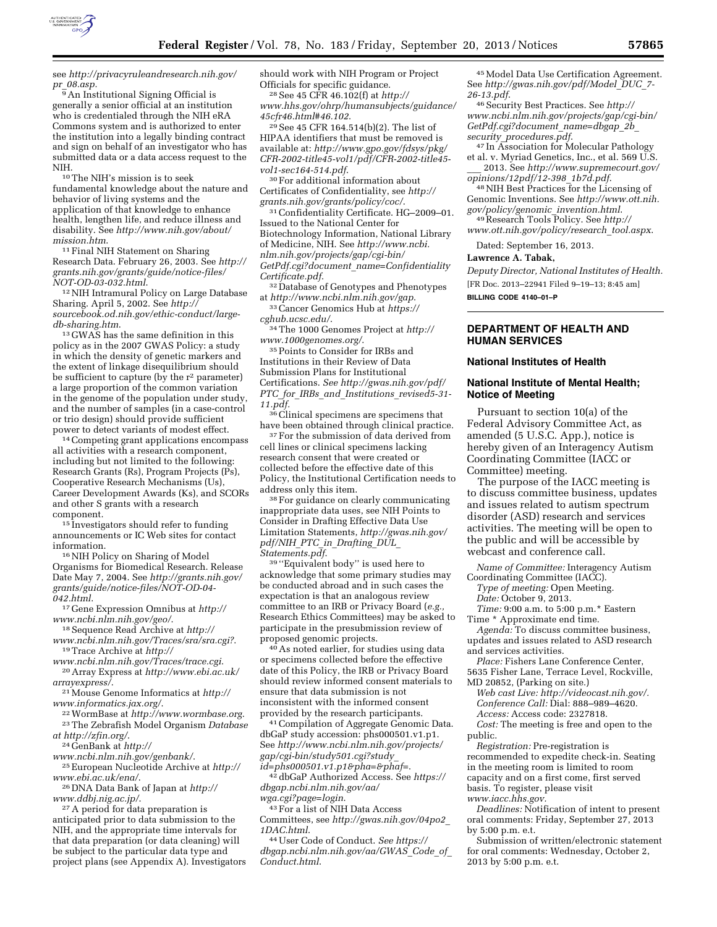

see *[http://privacyruleandresearch.nih.gov/](http://privacyruleandresearch.nih.gov/pr_08.asp) pr*\_*[08.asp.](http://privacyruleandresearch.nih.gov/pr_08.asp)* 

 $\overline{9}$  An Institutional Signing Official is generally a senior official at an institution who is credentialed through the NIH eRA Commons system and is authorized to enter the institution into a legally binding contract and sign on behalf of an investigator who has submitted data or a data access request to the NIH. 10The NIH's mission is to seek

fundamental knowledge about the nature and behavior of living systems and the application of that knowledge to enhance health, lengthen life, and reduce illness and disability. See *[http://www.nih.gov/about/](http://www.nih.gov/about/mission.htm)*

*[mission.htm](http://www.nih.gov/about/mission.htm)*. 11Final NIH Statement on Sharing Research Data. February 26, 2003. See *[http://](http://grants.nih.gov/grants/guide/notice-files/NOT-OD-03-032.html) [grants.nih.gov/grants/guide/notice-files/](http://grants.nih.gov/grants/guide/notice-files/NOT-OD-03-032.html)*

<sup>12</sup> NIH Intramural Policy on Large Database Sharing. April 5, 2002. See *[http://](http://sourcebook.od.nih.gov/ethic-conduct/large-db-sharing.htm) [sourcebook.od.nih.gov/ethic-conduct/large-](http://sourcebook.od.nih.gov/ethic-conduct/large-db-sharing.htm)*

<sup>13</sup> GWAS has the same definition in this policy as in the 2007 GWAS Policy: a study in which the density of genetic markers and the extent of linkage disequilibrium should be sufficient to capture (by the  $r^2$  parameter) a large proportion of the common variation in the genome of the population under study, and the number of samples (in a case-control or trio design) should provide sufficient power to detect variants of modest effect.<br><sup>14</sup> Competing grant applications encompass

all activities with a research component, including but not limited to the following: Research Grants (Rs), Program Projects (Ps), Cooperative Research Mechanisms (Us), Career Development Awards (Ks), and SCORs and other S grants with a research

component. 15 Investigators should refer to funding announcements or IC Web sites for contact

<sup>16</sup> NIH Policy on Sharing of Model Organisms for Biomedical Research. Release Date May 7, 2004. See *[http://grants.nih.gov/](http://grants.nih.gov/grants/guide/notice-files/NOT-OD-04-042.html)  [grants/guide/notice-files/NOT-OD-04-](http://grants.nih.gov/grants/guide/notice-files/NOT-OD-04-042.html)* 

*[042.html](http://grants.nih.gov/grants/guide/notice-files/NOT-OD-04-042.html)*. 17 Gene Expression Omnibus at *[http://](http://www.ncbi.nlm.nih.gov/geo/)*

*[www.ncbi.nlm.nih.gov/geo/](http://www.ncbi.nlm.nih.gov/geo/)*. 18Sequence Read Archive at *[http://](http://www.ncbi.nlm.nih.gov/Traces/sra/sra.cgi)*

*[www.ncbi.nlm.nih.gov/Traces/sra/sra.cgi?](http://www.ncbi.nlm.nih.gov/Traces/sra/sra.cgi)*. 19Trace Archive at*http://*

<sup>20</sup> Array Express at *[http://www.ebi.ac.uk/](http://www.ebi.ac.uk/arrayexpress/)*<br>array express/.

<sup>21</sup>Mouse Genome Informatics at *[http://](http://www.informatics.jax.org/)*<br>www.informatics.jax.org/.

*[www.informatics.jax.org/](http://www.informatics.jax.org/)*. 22WormBase at *http://www.wormbase.org*[.](http://www.wormbase.org) 23The Zebrafish Model Organism *Database* 

<sup>24</sup> GenBank at *[http://](http://www.ncbi.nlm.nih.gov/genbank/)*<br>*www[.](http://zfin.org/)ncbi.nlm.nih.gov/genbank/.* 

<sup>25</sup> European Nucleotide Archive at *[http://](http://www.ebi.ac.uk/ena/)www.ebi.ac.uk/ena/.* 

<sup>26</sup> DNA Data Bank of Japan at *[http://](http://www.ddbj.nig.ac.jp/)*<br>www.ddbj.nig.ac.jp/.

<sup>27</sup> A period for data preparation is anticipated prior to data submission to the NIH, and the appropriate time intervals for that data preparation (or data cleaning) will be subject to the particular data type and project plans (see Appendix A). Investigators should work with NIH Program or Project Officials for specific guidance. 28See 45 CFR 46.102(f) at *[http://](http://www.hhs.gov/ohrp/humansubjects/guidance/45cfr46.html#46.102)*

*[www.hhs.gov/ohrp/humansubjects/guidance/](http://www.hhs.gov/ohrp/humansubjects/guidance/45cfr46.html#46.102)*

<sup>29</sup> See 45 CFR 164.514(b)(2). The list of HIPAA identifiers that must be removed is available at: *[http://www.gpo.gov/fdsys/pkg/](http://www.gpo.gov/fdsys/pkg/CFR-2002-title45-vol1/pdf/CFR-2002-title45-vol1-sec164-514.pdf) [CFR-2002-title45-vol1/pdf/CFR-2002-title45](http://www.gpo.gov/fdsys/pkg/CFR-2002-title45-vol1/pdf/CFR-2002-title45-vol1-sec164-514.pdf) [vol1-sec164-514.pdf](http://www.gpo.gov/fdsys/pkg/CFR-2002-title45-vol1/pdf/CFR-2002-title45-vol1-sec164-514.pdf).*<br><sup>30</sup> For additional information about

Certificates of Confidentiality, see *[http://](http://grants.nih.gov/grants/policy/coc/)*

<sup>31</sup> Confidentiality Certificate. HG–2009–01. Issued to the National Center for Biotechnology Information, National Library of Medicine, NIH. See *[http://www.ncbi.](http://www.ncbi.nlm.nih.gov/projects/gap/cgi-bin/GetPdf.cgi?document_name=ConfidentialityCertificate.pdf) [nlm.nih.gov/projects/gap/cgi-bin/](http://www.ncbi.nlm.nih.gov/projects/gap/cgi-bin/GetPdf.cgi?document_name=ConfidentialityCertificate.pdf) GetPdf.cgi?document*\_*[name=Confidentiality](http://www.ncbi.nlm.nih.gov/projects/gap/cgi-bin/GetPdf.cgi?document_name=ConfidentialityCertificate.pdf) [Certificate.pdf](http://www.ncbi.nlm.nih.gov/projects/gap/cgi-bin/GetPdf.cgi?document_name=ConfidentialityCertificate.pdf)*. 32 Database of Genotypes and Phenotypes

at *http://www.ncbi.nlm.nih.gov/gap*[.](http://www.ncbi.nlm.nih.gov/gap) 33Cancer Genomics Hub at*https://*

<sup>34</sup> The 1000 Genomes Project at *[http://](http://www.1000genomes.org/)*<br>www.1000genomes.org/.

 $^{\rm 35}$  Points to Consider for IRBs and Institutions in their Review of Data Submission Plans for Institutional Certifications. *See [http://gwas.nih.gov/pdf/](http://gwas.nih.gov/pdf/PTC_for_IRBs_and_Institutions_revised5-31-11.pdf) PTC*\_*for*\_*IRBs*\_*and*\_*Institutions*\_*[revised5-31-](http://gwas.nih.gov/pdf/PTC_for_IRBs_and_Institutions_revised5-31-11.pdf)  [11.pdf.](http://gwas.nih.gov/pdf/PTC_for_IRBs_and_Institutions_revised5-31-11.pdf)* 

36Clinical specimens are specimens that have been obtained through clinical practice. 37For the submission of data derived from

cell lines or clinical specimens lacking research consent that were created or collected before the effective date of this Policy, the Institutional Certification needs to address only this item. 38For guidance on clearly communicating

inappropriate data uses, see NIH Points to Consider in Drafting Effective Data Use Limitation Statements, *[http://gwas.nih.gov/](http://gwas.nih.gov/pdf/NIH_PTC_in_Drafting_DUL_Statements.pdf) [pdf/NIH](http://gwas.nih.gov/pdf/NIH_PTC_in_Drafting_DUL_Statements.pdf)*\_*PTC*\_*in*\_*Drafting*\_*DUL*\_

<sup>39</sup> "Equivalent body" is used here to acknowledge that some primary studies may be conducted abroad and in such cases the expectation is that an analogous review committee to an IRB or Privacy Board (*e.g.,*  Research Ethics Committees) may be asked to participate in the presubmission review of proposed genomic projects. 40As noted earlier, for studies using data

or specimens collected before the effective date of this Policy, the IRB or Privacy Board should review informed consent materials to ensure that data submission is not inconsistent with the informed consent<br>provided by the research participants.

<sup>41</sup> Compilation of Aggregate Genomic Data. dbGaP study accession: phs000501.v1.p1. See *[http://www.ncbi.nlm.nih.gov/projects/](http://www.ncbi.nlm.nih.gov/projects/gap/cgi-bin/study501.cgi?study_id=phs000501.v1.p1&pha=&phaf=) [gap/cgi-bin/study501.cgi?study](http://www.ncbi.nlm.nih.gov/projects/gap/cgi-bin/study501.cgi?study_id=phs000501.v1.p1&pha=&phaf=)*\_

*id=phs000501.v1.p1&pha=&phaf=*[.](http://www.ncbi.nlm.nih.gov/projects/gap/cgi-bin/study501.cgi?study_id=phs000501.v1.p1&pha=&phaf=) [42](http://www.ncbi.nlm.nih.gov/projects/gap/cgi-bin/study501.cgi?study_id=phs000501.v1.p1&pha=&phaf=)dbGaP Authorized Access. See *[https://](https://dbgap.ncbi.nlm.nih.gov/aa/wga.cgi?page=login) [dbgap.ncbi.nlm.nih.gov/aa/](https://dbgap.ncbi.nlm.nih.gov/aa/wga.cgi?page=login)*

 $43$  For a list of NIH Data Access Committees, see *[http://gwas.nih.gov/04po2](http://gwas.nih.gov/04po2_1DAC.html)*\_

*[1DAC.html](http://gwas.nih.gov/04po2_1DAC.html)*. 44User Code of Conduct. *See [https://](https://dbgap.ncbi.nlm.nih.gov/aa/GWAS_Code_of_Conduct.html) [dbgap.ncbi.nlm.nih.gov/aa/GWAS](https://dbgap.ncbi.nlm.nih.gov/aa/GWAS_Code_of_Conduct.html)*\_*Code*\_*of*\_ *[Conduct.html](https://dbgap.ncbi.nlm.nih.gov/aa/GWAS_Code_of_Conduct.html)*.

45Model Data Use Certification Agreement. See *[http://gwas.nih.gov/pdf/Model](http://gwas.nih.gov/pdf/Model_DUC_7-26-13.pdf)*\_*DUC*\_*7- [26-13.pdf](http://gwas.nih.gov/pdf/Model_DUC_7-26-13.pdf)*. 46Security Best Practices. See *[http://](http://www.ncbi.nlm.nih.gov/projects/gap/cgi-bin/GetPdf.cgi?document_name=dbgap_2b_security_procedures.pdf)*

*[www.ncbi.nlm.nih.gov/projects/gap/cgi-bin/](http://www.ncbi.nlm.nih.gov/projects/gap/cgi-bin/GetPdf.cgi?document_name=dbgap_2b_security_procedures.pdf) [GetPdf.cgi?document](http://www.ncbi.nlm.nih.gov/projects/gap/cgi-bin/GetPdf.cgi?document_name=dbgap_2b_security_procedures.pdf)*\_*name=dbgap*\_*2b*\_

<sup>47</sup> In Association for Molecular Pathology et al. v. Myriad Genetics, Inc., et al. 569 U.S. \_\_\_ 2013. See *[http://www.supremecourt.gov/](http://www.supremecourt.gov/opinions/12pdf/12-398_1b7d.pdf)* 

<sup>48</sup> NIH Best Practices for the Licensing of

Genomic Inventions. See *[http://www.ott.nih.](http://www.ott.nih.gov/policy/genomic_invention.html)*

*gov/policy/genomic*\_*invention.html*[. 49](http://www.ott.nih.gov/policy/genomic_invention.html)Research Tools Policy. See *[http://](http://www.ott.nih.gov/policy/research_tool.aspx) [www.ott.nih.gov/policy/research](http://www.ott.nih.gov/policy/research_tool.aspx)*\_*tool.aspx*.

Dated: September 16, 2013.

### **Lawrence A. Tabak,**

*Deputy Director, National Institutes of Health.*  [FR Doc. 2013–22941 Filed 9–19–13; 8:45 am] **BILLING CODE 4140–01–P** 

# **DEPARTMENT OF HEALTH AND HUMAN SERVICES**

# **National Institutes of Health**

## **National Institute of Mental Health; Notice of Meeting**

Pursuant to section 10(a) of the Federal Advisory Committee Act, as amended (5 U.S.C. App.), notice is hereby given of an Interagency Autism Coordinating Committee (IACC or Committee) meeting.

The purpose of the IACC meeting is to discuss committee business, updates and issues related to autism spectrum disorder (ASD) research and services activities. The meeting will be open to the public and will be accessible by webcast and conference call.

*Name of Committee:* Interagency Autism Coordinating Committee (IACC).

*Type of meeting:* Open Meeting.

*Date:* October 9, 2013.

*Time:* 9:00 a.m. to 5:00 p.m.\* Eastern Time \* Approximate end time.

*Agenda:* To discuss committee business, updates and issues related to ASD research and services activities.

*Place:* Fishers Lane Conference Center, 5635 Fisher Lane, Terrace Level, Rockville, MD 20852, (Parking on site.)

*Web cast Live: [http://videocast.nih.gov/.](http://videocast.nih.gov/)  Conference Call:* Dial: 888–989–4620. *Access:* Access code: 2327818.

*Cost:* The meeting is free and open to the public.

*Registration:* Pre-registration is recommended to expedite check-in. Seating in the meeting room is limited to room capacity and on a first come, first served basis. To register, please visit *[www.iacc.hhs.gov.](http://www.iacc.hhs.gov)* 

*Deadlines:* Notification of intent to present oral comments: Friday, September 27, 2013 by 5:00 p.m. e.t.

Submission of written/electronic statement for oral comments: Wednesday, October 2, 2013 by 5:00 p.m. e.t.